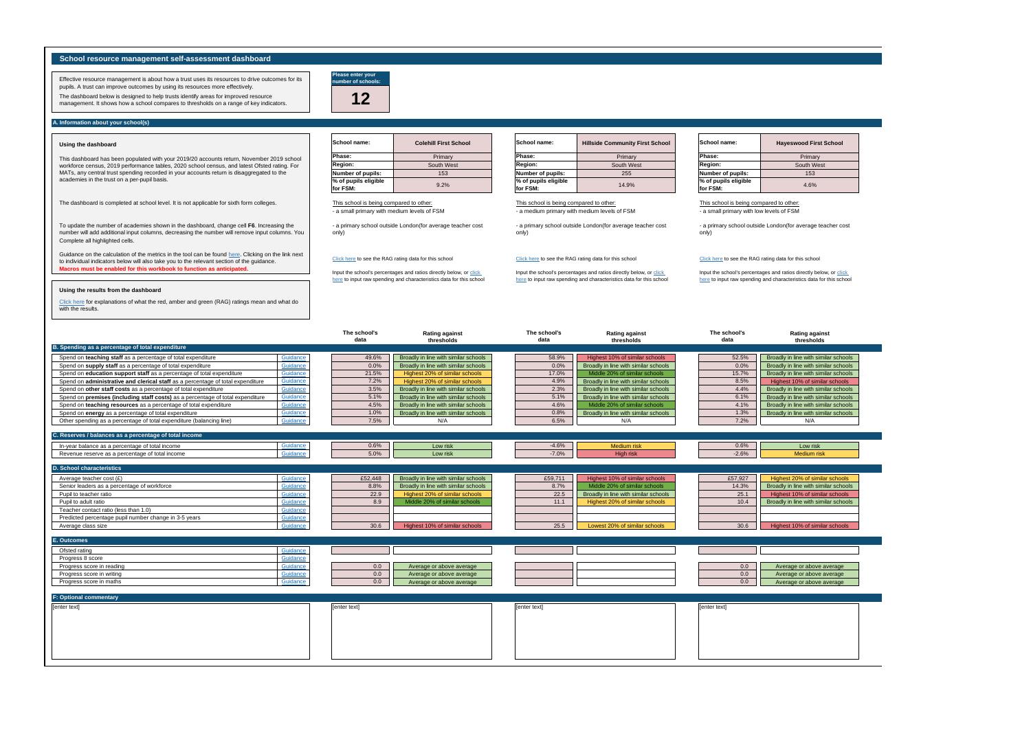Input the school's percentages and ratios directly below, or click here to input raw spending and characteristics data for this school

Input the school's percentages and ratios directly below, or click here to input raw spending and characteristics data for this school

| <b>Colehill First School</b> | <b>School name:</b>              | <b>Hillside Community First School</b> | School name:                     | <b>Hayeswood First School</b> |
|------------------------------|----------------------------------|----------------------------------------|----------------------------------|-------------------------------|
| Primary                      | Phase:                           | Primary                                | Phase:                           | Primary                       |
| South West                   | <b>Region:</b>                   | South West                             | <b>Region:</b>                   | South West                    |
| 153                          | Number of pupils:                | 255                                    | Number of pupils:                | 153                           |
| 9.2%                         | % of pupils eligible<br>for FSM: | 14.9%                                  | % of pupils eligible<br>for FSM: | 4.6%                          |
|                              |                                  |                                        |                                  |                               |

**Macros must be enabled for this workbook to function as anticipated.** [Guidance on the calculation of the metrics in the tool can be found](https://www.gov.uk/government/publications/school-resource-management-self-assessment-tool/dashboard-support-notes) [here. Clicking on th](https://www.gov.uk/government/publications/school-resource-management-self-assessment-tool/dashboard-support-notes)e link next [to individual indicators below will also take you to the relevant section of the guidance.](https://www.gov.uk/government/publications/school-resource-management-self-assessment-tool/dashboard-support-notes)



Input the school's percentages and ratios directly below, or click here to input raw spending and characteristics data for this school

|                                                                                 |          | The school's<br>data | <b>Rating against</b><br>thresholds  | The school's<br>data | <b>Rating against</b><br>thresholds  | The school's<br>data | <b>Rating against</b><br>thresholds  |
|---------------------------------------------------------------------------------|----------|----------------------|--------------------------------------|----------------------|--------------------------------------|----------------------|--------------------------------------|
| B. Spending as a percentage of total expenditure                                |          |                      |                                      |                      |                                      |                      |                                      |
| Spend on teaching staff as a percentage of total expenditure                    | Guidance | 49.6%                | Broadly in line with similar schools | 58.9%                | Highest 10% of similar schools       | 52.5%                | Broadly in line with similar schools |
| Spend on supply staff as a percentage of total expenditure                      | Guidance | 0.0%                 | Broadly in line with similar schools | 0.0%                 | Broadly in line with similar schools | 0.0%                 | Broadly in line with similar schools |
| Spend on education support staff as a percentage of total expenditure           | Guidance | 21.5%                | Highest 20% of similar schools       | 17.0%                | Middle 20% of similar schools        | 15.7%                | Broadly in line with similar schools |
| Spend on administrative and clerical staff as a percentage of total expenditure | Guidance | 7.2%                 | Highest 20% of similar schools       | 4.9%                 | Broadly in line with similar schools | 8.5%                 | Highest 10% of similar schools       |
| Spend on other staff costs as a percentage of total expenditure                 | Guidance | 3.5%                 | Broadly in line with similar schools | 2.3%                 | Broadly in line with similar schools | 4.4%                 | Broadly in line with similar schools |
| Spend on premises (including staff costs) as a percentage of total expenditure  | Guidance | 5.1%                 | Broadly in line with similar schools | 5.1%                 | Broadly in line with similar schools | 6.1%                 | Broadly in line with similar schools |
| Spend on teaching resources as a percentage of total expenditure                | Guidance | 4.5%                 | Broadly in line with similar schools | 4.6%                 | Middle 20% of similar schools        | 4.1%                 | Broadly in line with similar schools |
| Spend on energy as a percentage of total expenditure                            | Guidance | 1.0%                 | Broadly in line with similar schools | 0.8%                 | Broadly in line with similar schools | 1.3%                 | Broadly in line with similar schools |
| Other spending as a percentage of total expenditure (balancing line)            | Guidance | 7.5%                 | N/A                                  | 6.5%                 | N/A                                  | 7.2%                 | N/A                                  |
|                                                                                 |          |                      |                                      |                      |                                      |                      |                                      |
| C. Reserves / balances as a percentage of total income                          |          |                      |                                      |                      |                                      |                      |                                      |
| In-year balance as a percentage of total income                                 | Guidance | 0.6%                 | Low risk                             | $-4.6%$              | <b>Medium</b> risk                   | 0.6%                 | Low risk                             |
| Revenue reserve as a percentage of total income                                 | Guidance | 5.0%                 | Low risk                             | $-7.0%$              | High risk                            | $-2.6%$              | Medium risk                          |
|                                                                                 |          |                      |                                      |                      |                                      |                      |                                      |
| <b>D. School characteristics</b>                                                |          |                      |                                      |                      |                                      |                      |                                      |
| Average teacher cost (£)                                                        | Guidance | £52,448              | Broadly in line with similar schools | £59,711              | Highest 10% of similar schools       | £57,927              | Highest 20% of similar schools       |
| Senior leaders as a percentage of workforce                                     | Guidance | 8.8%                 | Broadly in line with similar schools | 8.7%                 | Middle 20% of similar schools        | 14.3%                | Broadly in line with similar schools |
| Pupil to teacher ratio                                                          | Guidance | 22.9                 | Highest 20% of similar schools       | 22.5                 | Broadly in line with similar schools | 25.1                 | Highest 10% of similar schools       |
| Pupil to adult ratio                                                            | Guidance | 8.9                  | Middle 20% of similar schools        | 11.1                 | Highest 20% of similar schools       | 10.4                 | Broadly in line with similar schools |
| Teacher contact ratio (less than 1.0)                                           | Guidance |                      |                                      |                      |                                      |                      |                                      |
| Predicted percentage pupil number change in 3-5 years                           | Guidance |                      |                                      |                      |                                      |                      |                                      |
| Average class size                                                              | Guidance | 30.6                 | Highest 10% of similar schools       | 25.5                 | Lowest 20% of similar schools        | 30.6                 | Highest 10% of similar schools       |
|                                                                                 |          |                      |                                      |                      |                                      |                      |                                      |
| E. Outcomes                                                                     |          |                      |                                      |                      |                                      |                      |                                      |
| Ofsted rating                                                                   | Guidance |                      |                                      |                      |                                      |                      |                                      |
| Progress 8 score                                                                | Guidance |                      |                                      |                      |                                      |                      |                                      |
| Progress score in reading                                                       | Guidance | 0.0                  | Average or above average             |                      |                                      | 0.0                  | Average or above average             |
| Progress score in writing                                                       | Guidance | 0.0                  | Average or above average             |                      |                                      | 0.0                  | Average or above average             |
| Progress score in maths                                                         | Guidance | 0.0                  | Average or above average             |                      |                                      | 0.0                  | Average or above average             |
|                                                                                 |          |                      |                                      |                      |                                      |                      |                                      |
| <b>F: Optional commentary</b>                                                   |          |                      |                                      |                      |                                      |                      |                                      |
| [enter text]                                                                    |          | [enter text]         |                                      | [enter text]         |                                      | [enter text]         |                                      |
|                                                                                 |          |                      |                                      |                      |                                      |                      |                                      |
|                                                                                 |          |                      |                                      |                      |                                      |                      |                                      |
|                                                                                 |          |                      |                                      |                      |                                      |                      |                                      |
|                                                                                 |          |                      |                                      |                      |                                      |                      |                                      |
|                                                                                 |          |                      |                                      |                      |                                      |                      |                                      |
|                                                                                 |          |                      |                                      |                      |                                      |                      |                                      |

| <b>layeswood First School</b> |
|-------------------------------|
| Primary                       |
| South West                    |
| 153                           |
| 4.6%                          |

This school is being compared to other: - a small primary with low levels of FSM

- a primary school outside London(for average teacher cost only)

Click here to see the RAG rating data for this school



This school is being compared to other: - a medium primary with medium levels of FSM

- a primary school outside London(for average teacher cost only)

#### Click here to see the RAG rating data for this school

- a small primary with medium levels of FSM This school is being compared to other:

- a primary school outside London(for average teacher cost only)

#### Click here to see the RAG rating data for this school

To update the number of academies shown in the dashboard, change cell **F6**. Increasing the number will add additional input columns, decreasing the number will remove input columns. You Complete all highlighted cells.

| School name:                     | <b>Colehill First School</b> |
|----------------------------------|------------------------------|
| Phase:                           | Primary                      |
| Region:                          | South West                   |
| Number of pupils:                | 153                          |
| % of pupils eligible<br>for FSM: | 9.2%                         |

Effective resource management is about how a trust uses its resources to drive outcomes for its pupils. A trust can improve outcomes by using its resources more effectively. The dashboard below is designed to help trusts identify areas for improved resource

management. It shows how a school compares to thresholds on a range of key indicators.

# **School resource management self-assessment dashboard**

This dashboard has been populated with your 2019/20 accounts return, November 2019 school workforce census, 2019 performance tables, 2020 school census, and latest Ofsted rating. For MATs, any central trust spending recorded in your accounts return is disaggregated to the academies in the trust on a per-pupil basis.

## **A. Information about your school(s)**

# **Using the dashboard**

## **[Using the results from the dashboard](https://www.gov.uk/government/publications/school-resource-management-self-assessment-tool/dashboard-support-notes)**

[Click here for explanations of what the red, amber and green \(RAG\) ratings mean and](https://www.gov.uk/government/publications/school-resource-management-self-assessment-tool/dashboard-support-notes) what do [with the results.](https://www.gov.uk/government/publications/school-resource-management-self-assessment-tool/dashboard-support-notes)

The dashboard is completed at school level. It is not applicable for sixth form colleges.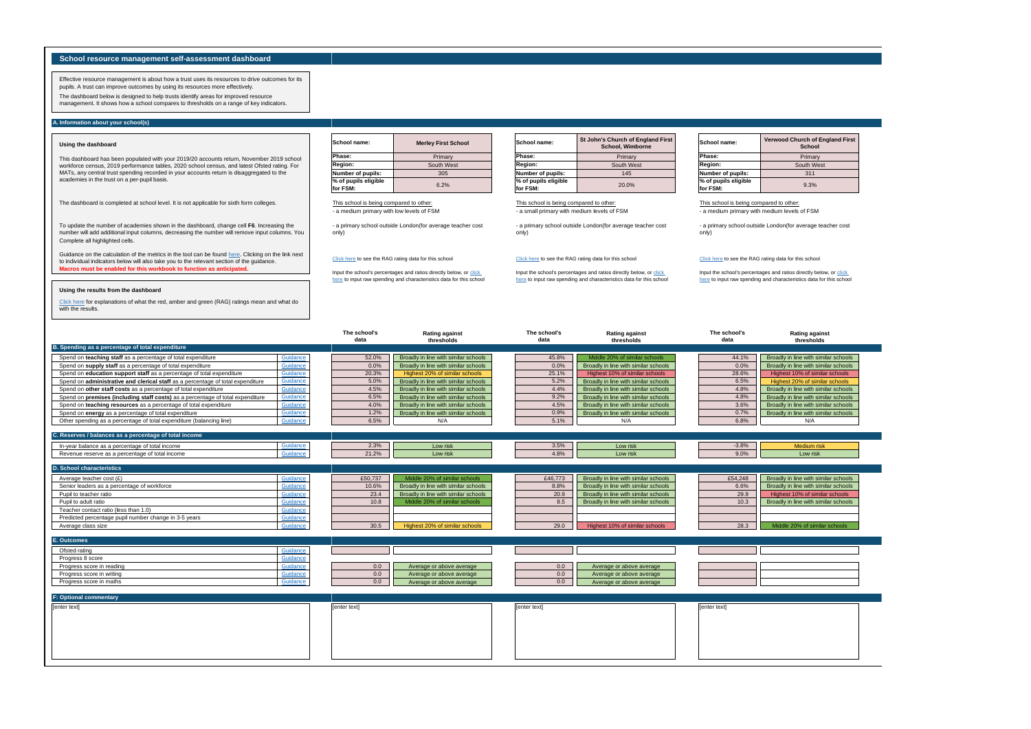**Macros must be enabled for this workbook to function as anticipated.** [Guidance on the calculation of the metrics in the tool can be found](https://www.gov.uk/government/publications/school-resource-management-self-assessment-tool/dashboard-support-notes) [here. Clicking on th](https://www.gov.uk/government/publications/school-resource-management-self-assessment-tool/dashboard-support-notes)e link next [to individual indicators below will also take you to the relevant section of the guidance.](https://www.gov.uk/government/publications/school-resource-management-self-assessment-tool/dashboard-support-notes)

To update the number of academies shown in the dashboard, change cell **F6**. Increasing the number will add additional input columns, decreasing the number will remove input columns. You Complete all highlighted cells.

Effective resource management is about how a trust uses its resources to drive outcomes for its pupils. A trust can improve outcomes by using its resources more effectively. The dashboard below is designed to help trusts identify areas for improved resource

management. It shows how a school compares to thresholds on a range of key indicators.

# **School resource management self-assessment dashboard**

# **Using the dashboard**

This dashboard has been populated with your 2019/20 accounts return, November 2019 school workforce census, 2019 performance tables, 2020 school census, and latest Ofsted rating. For MATs, any central trust spending recorded in your accounts return is disaggregated to the academies in the trust on a per-pupil basis.

## **A. Information about your school(s)**

## **[Using the results from the dashboard](https://www.gov.uk/government/publications/school-resource-management-self-assessment-tool/dashboard-support-notes)**

[Click here for explanations of what the red, amber and green \(RAG\) ratings mean and](https://www.gov.uk/government/publications/school-resource-management-self-assessment-tool/dashboard-support-notes) what do [with the results.](https://www.gov.uk/government/publications/school-resource-management-self-assessment-tool/dashboard-support-notes)

This school is being compared to other: - a medium primary with medium levels of FSM

Input the school's percentages and ratios directly below, or click here to input raw spending and characteristics data for this school

The dashboard is completed at school level. It is not applicable for sixth form colleges.

Input the school's percentages and ratios directly below, or click here to input raw spending and characteristics data for this school

Input the school's percentages and ratios directly below, or click here to input raw spending and characteristics data for this school

| B. Spending as a percentage of total expenditure                                |          | The school's<br>data | <b>Rating against</b><br>thresholds  | The school's<br>data | <b>Rating against</b><br>thresholds  |              | The school's<br>data | <b>Rating again</b><br>thresholds |
|---------------------------------------------------------------------------------|----------|----------------------|--------------------------------------|----------------------|--------------------------------------|--------------|----------------------|-----------------------------------|
| Spend on teaching staff as a percentage of total expenditure                    | Guidance | 52.0%                | Broadly in line with similar schools | 45.8%                | Middle 20% of similar schools        |              | 44.1%                | Broadly in line with sim          |
| Spend on supply staff as a percentage of total expenditure                      | Guidance | 0.0%                 | Broadly in line with similar schools | 0.0%                 | Broadly in line with similar schools |              | 0.0%                 | Broadly in line with sim          |
| Spend on education support staff as a percentage of total expenditure           | Guidance | 20.3%                | Highest 20% of similar schools       | 25.1%                | Highest 10% of similar schools       |              | 28.6%                | Highest 10% of simila             |
| Spend on administrative and clerical staff as a percentage of total expenditure | Guidance | 5.0%                 | Broadly in line with similar schools | 5.2%                 | Broadly in line with similar schools |              | 6.5%                 | Highest 20% of simila             |
| Spend on other staff costs as a percentage of total expenditure                 | Guidance | 4.5%                 | Broadly in line with similar schools | 4.4%                 | Broadly in line with similar schools |              | 4.8%                 | Broadly in line with sim          |
| Spend on premises (including staff costs) as a percentage of total expenditure  | Guidance | 6.5%                 | Broadly in line with similar schools | 9.2%                 | Broadly in line with similar schools |              | 4.8%                 | Broadly in line with sim          |
| Spend on teaching resources as a percentage of total expenditure                | Guidance | 4.0%                 | Broadly in line with similar schools | 4.5%                 | Broadly in line with similar schools |              | 3.6%                 | Broadly in line with sim          |
| Spend on energy as a percentage of total expenditure                            | Guidance | 1.2%                 | Broadly in line with similar schools | 0.9%                 | Broadly in line with similar schools |              | 0.7%                 | Broadly in line with sim          |
| Other spending as a percentage of total expenditure (balancing line)            | Guidance | 6.5%                 | N/A                                  | 5.1%                 | N/A                                  |              | 6.8%                 | N/A                               |
| C. Reserves / balances as a percentage of total income                          |          |                      |                                      |                      |                                      |              |                      |                                   |
| In-year balance as a percentage of total income                                 | Guidance | 2.3%                 | Low risk                             | 3.5%                 | Low risk                             |              | $-3.8%$              | <b>Medium</b> risk                |
| Revenue reserve as a percentage of total income                                 | Guidance | 21.2%                | Low risk                             | 4.8%                 | Low risk                             |              | 9.0%                 | Low risk                          |
|                                                                                 |          |                      |                                      |                      |                                      |              |                      |                                   |
| <b>D. School characteristics</b>                                                |          |                      |                                      |                      |                                      |              |                      |                                   |
| Average teacher cost (£)                                                        | Guidance | £50,737              | Middle 20% of similar schools        | £46,773              | Broadly in line with similar schools |              | £54,248              | Broadly in line with sim          |
| Senior leaders as a percentage of workforce                                     | Guidance | 10.6%                | Broadly in line with similar schools | 8.8%                 | Broadly in line with similar schools |              | 6.6%                 | Broadly in line with sim          |
| Pupil to teacher ratio                                                          | Guidance | 23.4                 | Broadly in line with similar schools | 20.9                 | Broadly in line with similar schools |              | 29.9                 | Highest 10% of simila             |
| Pupil to adult ratio                                                            | Guidance | 10.8                 | Middle 20% of similar schools        | 8.5                  | Broadly in line with similar schools |              | 10.3                 | Broadly in line with sim          |
| Teacher contact ratio (less than 1.0)                                           | Guidance |                      |                                      |                      |                                      |              |                      |                                   |
| Predicted percentage pupil number change in 3-5 years                           | Guidance |                      |                                      |                      |                                      |              |                      |                                   |
| Average class size                                                              | Guidance | 30.5                 | Highest 20% of similar schools       | 29.0                 | Highest 10% of similar schools       |              | 28.3                 | Middle 20% of simila              |
| E. Outcomes                                                                     |          |                      |                                      |                      |                                      |              |                      |                                   |
| Ofsted rating                                                                   | Guidance |                      |                                      |                      |                                      |              |                      |                                   |
| Progress 8 score                                                                | Guidance |                      |                                      |                      |                                      |              |                      |                                   |
| Progress score in reading                                                       | Guidance | 0.0                  | Average or above average             | 0.0                  | Average or above average             |              |                      |                                   |
| Progress score in writing                                                       | Guidance | 0.0                  | Average or above average             | 0.0                  | Average or above average             |              |                      |                                   |
| Progress score in maths                                                         | Guidance | 0.0                  | Average or above average             | 0.0                  | Average or above average             |              |                      |                                   |
| <b>F: Optional commentary</b>                                                   |          |                      |                                      |                      |                                      |              |                      |                                   |
|                                                                                 |          |                      |                                      |                      |                                      |              |                      |                                   |
| [enter text]                                                                    |          | [enter text]         |                                      | [enter text]         |                                      | [enter text] |                      |                                   |
|                                                                                 |          |                      |                                      |                      |                                      |              |                      |                                   |
|                                                                                 |          |                      |                                      |                      |                                      |              |                      |                                   |
|                                                                                 |          |                      |                                      |                      |                                      |              |                      |                                   |
|                                                                                 |          |                      |                                      |                      |                                      |              |                      |                                   |
|                                                                                 |          |                      |                                      |                      |                                      |              |                      |                                   |

| School name:                     | <b>Verwood Church of England First</b><br>School |
|----------------------------------|--------------------------------------------------|
| Phase:                           | Primary                                          |
| Region:                          | South West                                       |
| Number of pupils:                | 311                                              |
| % of pupils eligible<br>for FSM: | 9.3%                                             |



| <b>Merley First School</b> | School name:                     | St John's Church of England First<br>School, Wimborne | School name:                     | <b>Verwood Church of Er</b><br>School |
|----------------------------|----------------------------------|-------------------------------------------------------|----------------------------------|---------------------------------------|
| Primary                    | <b>Phase:</b>                    | Primary                                               | Phase:                           | Primary                               |
| South West                 | <b>Region:</b>                   | South West                                            | Region:                          | South West                            |
| 305                        | Number of pupils:                | 145                                                   | Number of pupils:                | 311                                   |
| 6.2%                       | % of pupils eligible<br>for FSM: | 20.0%                                                 | % of pupils eligible<br>for FSM: | 9.3%                                  |
|                            |                                  |                                                       |                                  |                                       |

- a primary school outside London(for average teacher cost only)

Click here to see the RAG rating data for this school

This school is being compared to other: - a small primary with medium levels of FSM

- a primary school outside London(for average teacher cost only)

#### Click here to see the RAG rating data for this school

| School name:                     | <b>Merley First School</b> |
|----------------------------------|----------------------------|
| Phase:                           | Primary                    |
| Region:                          | South West                 |
| Number of pupils:                | 305                        |
| % of pupils eligible<br>for FSM: | 6.2%                       |

This school is being compared to other: - a medium primary with low levels of FSM

- a primary school outside London(for average teacher cost only)

#### Click here to see the RAG rating data for this school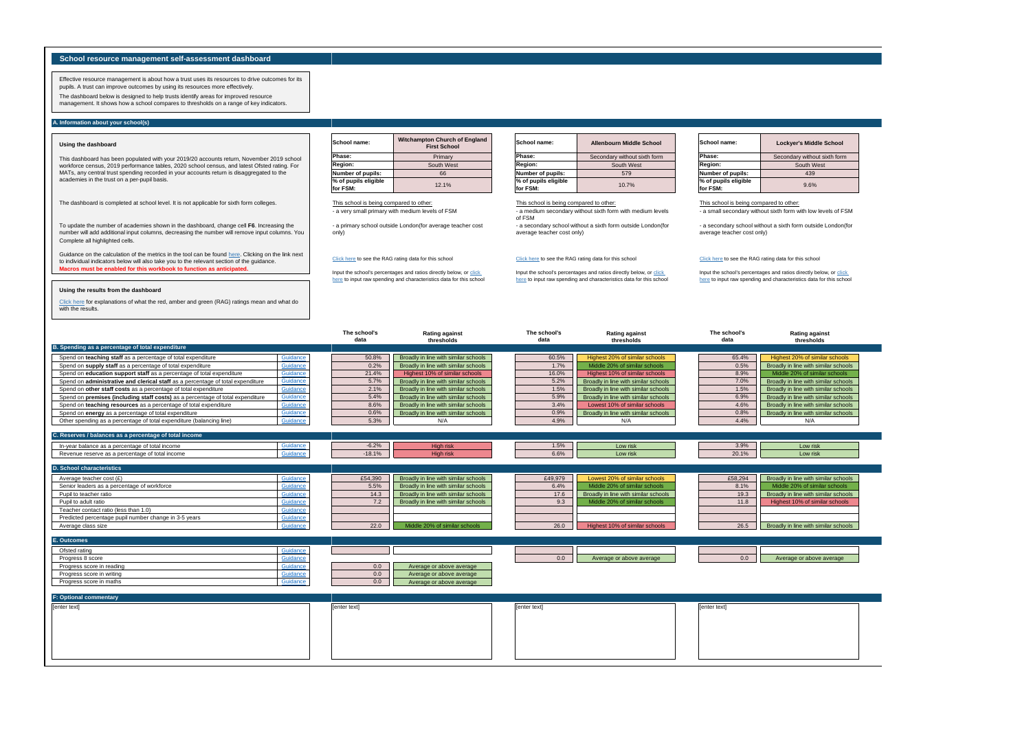**Macros must be enabled for this workbook to function as anticipated.** [Guidance on the calculation of the metrics in the tool can be found](https://www.gov.uk/government/publications/school-resource-management-self-assessment-tool/dashboard-support-notes) [here. Clicking on th](https://www.gov.uk/government/publications/school-resource-management-self-assessment-tool/dashboard-support-notes)e link next [to individual indicators below will also take you to the relevant section of the guidance.](https://www.gov.uk/government/publications/school-resource-management-self-assessment-tool/dashboard-support-notes)

To update the number of academies shown in the dashboard, change cell **F6**. Increasing the number will add additional input columns, decreasing the number will remove input columns. You Complete all highlighted cells.

Effective resource management is about how a trust uses its resources to drive outcomes for its pupils. A trust can improve outcomes by using its resources more effectively. The dashboard below is designed to help trusts identify areas for improved resource

management. It shows how a school compares to thresholds on a range of key indicators.

# **School resource management self-assessment dashboard**

#### **Using the dashboard**

This dashboard has been populated with your 2019/20 accounts return, November 2019 school workforce census, 2019 performance tables, 2020 school census, and latest Ofsted rating. For MATs, any central trust spending recorded in your accounts return is disaggregated to the academies in the trust on a per-pupil basis.

## **A. Information about your school(s)**

Input the school's percentages and ratios directly below, or click here to input raw spending and characteristics data for this school

## **[Using the results from the dashboard](https://www.gov.uk/government/publications/school-resource-management-self-assessment-tool/dashboard-support-notes)**

[Click here for explanations of what the red, amber and green \(RAG\) ratings mean and](https://www.gov.uk/government/publications/school-resource-management-self-assessment-tool/dashboard-support-notes) what do [with the results.](https://www.gov.uk/government/publications/school-resource-management-self-assessment-tool/dashboard-support-notes)

This school is being compared to other: - a small secondary without sixth form with low levels of FSM

The dashboard is completed at school level. It is not applicable for sixth form colleges.

Input the school's percentages and ratios directly below, or click here to input raw spending and characteristics data for this school

Input the school's percentages and ratios directly below, or click here to input raw spending and characteristics data for this school

|                                                                                 |          | The school's<br>data | <b>Rating against</b><br>thresholds  |              | The school's<br>data | <b>Rating against</b><br>thresholds  | The school's<br>data | Rating aga<br>threshold |
|---------------------------------------------------------------------------------|----------|----------------------|--------------------------------------|--------------|----------------------|--------------------------------------|----------------------|-------------------------|
| B. Spending as a percentage of total expenditure                                |          |                      |                                      |              |                      |                                      |                      |                         |
| Spend on teaching staff as a percentage of total expenditure                    | Guidance | 50.8%                | Broadly in line with similar schools |              | 60.5%                | Highest 20% of similar schools       | 65.4%                | Highest 20% of sim      |
| Spend on supply staff as a percentage of total expenditure                      | Guidance | 0.2%                 | Broadly in line with similar schools |              | 1.7%                 | Middle 20% of similar schools        | 0.5%                 | Broadly in line with si |
| Spend on education support staff as a percentage of total expenditure           | Guidance | 21.4%                | Highest 10% of similar schools       |              | 16.0%                | Highest 10% of similar schools       | 8.9%                 | Middle 20% of simi      |
| Spend on administrative and clerical staff as a percentage of total expenditure | Guidance | 5.7%                 | Broadly in line with similar schools |              | 5.2%                 | Broadly in line with similar schools | 7.0%                 | Broadly in line with si |
| Spend on other staff costs as a percentage of total expenditure                 | Guidance | 2.1%                 | Broadly in line with similar schools |              | 1.5%                 | Broadly in line with similar schools | 1.5%                 | Broadly in line with si |
| Spend on premises (including staff costs) as a percentage of total expenditure  | Guidance | 5.4%                 | Broadly in line with similar schools |              | 5.9%                 | Broadly in line with similar schools | 6.9%                 | Broadly in line with si |
| Spend on teaching resources as a percentage of total expenditure                | Guidance | 8.6%                 | Broadly in line with similar schools |              | 3.4%                 | Lowest 10% of similar schools        | 4.6%                 | Broadly in line with si |
| Spend on energy as a percentage of total expenditure                            | Guidance | 0.6%                 | Broadly in line with similar schools |              | 0.9%                 | Broadly in line with similar schools | 0.8%                 | Broadly in line with si |
| Other spending as a percentage of total expenditure (balancing line)            | Guidance | 5.3%                 | N/A                                  |              | 4.9%                 | N/A                                  | 4.4%                 | N/A                     |
| C. Reserves / balances as a percentage of total income                          |          |                      |                                      |              |                      |                                      |                      |                         |
| In-year balance as a percentage of total income                                 | Guidance | $-6.2%$              | High risk                            |              | 1.5%                 | Low risk                             | 3.9%                 | Low risk                |
| Revenue reserve as a percentage of total income                                 | Guidance | $-18.1%$             | High risk                            |              | 6.6%                 | Low risk                             | 20.1%                | Low risk                |
| <b>D. School characteristics</b>                                                |          |                      |                                      |              |                      |                                      |                      |                         |
| Average teacher cost $(E)$                                                      | Guidance | £54,390              | Broadly in line with similar schools |              | £49,979              | Lowest 20% of similar schools        | £58,294              | Broadly in line with si |
| Senior leaders as a percentage of workforce                                     | Guidance | 5.5%                 | Broadly in line with similar schools |              | 6.4%                 | Middle 20% of similar schools        | 8.1%                 | Middle 20% of simi      |
| Pupil to teacher ratio                                                          | Guidance | 14.3                 | Broadly in line with similar schools |              | 17.6                 | Broadly in line with similar schools | 19.3                 | Broadly in line with si |
| Pupil to adult ratio                                                            | Guidance | 7.2                  | Broadly in line with similar schools |              | 9.3                  | Middle 20% of similar schools        | 11.8                 | Highest 10% of sim      |
| Teacher contact ratio (less than 1.0)                                           | Guidance |                      |                                      |              |                      |                                      |                      |                         |
| Predicted percentage pupil number change in 3-5 years                           | Guidance |                      |                                      |              |                      |                                      |                      |                         |
| Average class size                                                              | Guidance | 22.0                 | Middle 20% of similar schools        |              | 26.0                 | Highest 10% of similar schools       | 26.5                 | Broadly in line with si |
| E. Outcomes                                                                     |          |                      |                                      |              |                      |                                      |                      |                         |
| Ofsted rating                                                                   | Guidance |                      |                                      |              |                      |                                      |                      |                         |
| Progress 8 score                                                                | Guidance |                      |                                      |              | 0.0                  | Average or above average             | 0.0                  | Average or above        |
| Progress score in reading                                                       | Guidance | 0.0                  | Average or above average             |              |                      |                                      |                      |                         |
| Progress score in writing                                                       | Guidance | 0.0                  | Average or above average             |              |                      |                                      |                      |                         |
| Progress score in maths                                                         | Guidance | 0.0                  | Average or above average             |              |                      |                                      |                      |                         |
| <b>F: Optional commentary</b>                                                   |          |                      |                                      |              |                      |                                      |                      |                         |
| [enter text]                                                                    |          | [enter text]         |                                      | [enter text] |                      |                                      | [enter text]         |                         |
|                                                                                 |          |                      |                                      |              |                      |                                      |                      |                         |
|                                                                                 |          |                      |                                      |              |                      |                                      |                      |                         |
|                                                                                 |          |                      |                                      |              |                      |                                      |                      |                         |
|                                                                                 |          |                      |                                      |              |                      |                                      |                      |                         |
|                                                                                 |          |                      |                                      |              |                      |                                      |                      |                         |
|                                                                                 |          |                      |                                      |              |                      |                                      |                      |                         |

| ton Church of England<br><b>First School</b> | School name:                     | Allenbourn Middle School     | School name:                     | <b>Lockyer's Middle School</b> |
|----------------------------------------------|----------------------------------|------------------------------|----------------------------------|--------------------------------|
| Primary                                      | Phase:                           | Secondary without sixth form | Phase:                           | Secondary without sixth form   |
| South West                                   | <b>Region:</b>                   | South West                   | Region:                          | South West                     |
| 66                                           | Number of pupils:                | 579                          | Number of pupils:                | 439                            |
| 12.1%                                        | % of pupils eligible<br>for FSM: | 10.7%                        | % of pupils eligible<br>for FSM: | 9.6%                           |





| School name:                     | <b>Witchampton Church of England</b><br><b>First School</b> |
|----------------------------------|-------------------------------------------------------------|
| Phase:                           | Primary                                                     |
| Region:                          | South West                                                  |
| Number of pupils:                | 66                                                          |
| % of pupils eligible<br>for FSM: | 12.1%                                                       |

- a secondary school without a sixth form outside London(for

| <b>School name:</b>              | <b>Lockyer's Middle School</b> |
|----------------------------------|--------------------------------|
| Phase:                           | Secondary without sixth form   |
| Region:                          | South West                     |
| Number of pupils:                | 439                            |
| % of pupils eligible<br>for FSM: | 9.6%                           |

average teacher cost only)

# Click here to see the RAG rating data for this school

This school is being compared to other: - a medium secondary without sixth form with medium levels

of FSM - a secondary school without a sixth form outside London(for average teacher cost only)

#### Click here to see the RAG rating data for this school

This school is being compared to other: - a very small primary with medium levels of FSM

- a primary school outside London(for average teacher cost only)

#### Click here to see the RAG rating data for this school